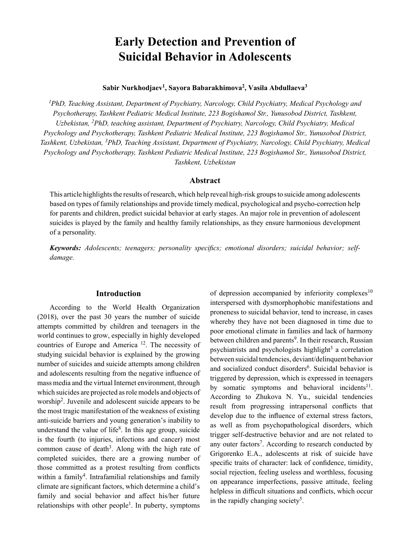# **Early Detection and Prevention of Suicidal Behavior in Adolescents**

# **Sabir Nurkhodjaev<sup>1</sup> , Sayora Babarakhimova<sup>2</sup> , Vasila Abdullaeva<sup>3</sup>**

*1 PhD, Teaching Assistant, Department of Psychiatry, Narcology, Child Psychiatry, Medical Psychology and Psychotherapy, Tashkent Pediatric Medical Institute, 223 Bogishamol Str., Yunusobod District, Tashkent, Uzbekistan, <sup>2</sup> PhD, teaching assistant, Department of Psychiatry, Narcology, Child Psychiatry, Medical Psychology and Psychotherapy, Tashkent Pediatric Medical Institute, 223 Bogishamol Str., Yunusobod District, Tashkent, Uzbekistan, 3PhD, Teaching Assistant, Department of Psychiatry, Narcology, Child Psychiatry, Medical Psychology and Psychotherapy, Tashkent Pediatric Medical Institute, 223 Bogishamol Str., Yunusobod District, Tashkent, Uzbekistan*

#### **Abstract**

This article highlights the results of research, which help reveal high-risk groups to suicide among adolescents based on types of family relationships and provide timely medical, psychological and psycho-correction help for parents and children, predict suicidal behavior at early stages. An major role in prevention of adolescent suicides is played by the family and healthy family relationships, as they ensure harmonious development of a personality.

*Keywords: Adolescents; teenagers; personality specifics; emotional disorders; suicidal behavior; selfdamage.*

## **Introduction**

According to the World Health Organization (2018), over the past 30 years the number of suicide attempts committed by children and teenagers in the world continues to grow, especially in highly developed countries of Europe and America 12. The necessity of studying suicidal behavior is explained by the growing number of suicides and suicide attempts among children and adolescents resulting from the negative influence of mass media and the virtual Internet environment, through which suicides are projected as role models and objects of worship2. Juvenile and adolescent suicide appears to be the most tragic manifestation of the weakness of existing anti-suicide barriers and young generation's inability to understand the value of life<sup>8</sup>. In this age group, suicide is the fourth (to injuries, infections and cancer) most common cause of death<sup>3</sup>. Along with the high rate of completed suicides, there are a growing number of those committed as a protest resulting from conflicts within a family<sup>4</sup>. Intrafamilial relationships and family climate are significant factors, which determine a child's family and social behavior and affect his/her future relationships with other people<sup>1</sup>. In puberty, symptoms

of depression accompanied by inferiority complexes<sup>10</sup> interspersed with dysmorphophobic manifestations and proneness to suicidal behavior, tend to increase, in cases whereby they have not been diagnosed in time due to poor emotional climate in families and lack of harmony between children and parents<sup>9</sup>. In their research, Russian psychiatrists and psychologists highlight<sup>3</sup> a correlation between suicidal tendencies, deviant/delinquent behavior and socialized conduct disorders<sup>6</sup>. Suicidal behavior is triggered by depression, which is expressed in teenagers by somatic symptoms and behavioral incidents<sup>11</sup>. According to Zhukova N. Yu., suicidal tendencies result from progressing intrapersonal conflicts that develop due to the influence of external stress factors, as well as from psychopathological disorders, which trigger self-destructive behavior and are not related to any outer factors<sup>7</sup>. According to research conducted by Grigorenko E.A., adolescents at risk of suicide have specific traits of character: lack of confidence, timidity, social rejection, feeling useless and worthless, focusing on appearance imperfections, passive attitude, feeling helpless in difficult situations and conflicts, which occur in the rapidly changing society<sup>5</sup>.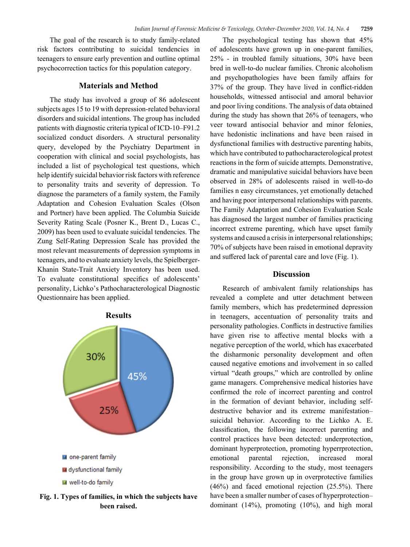The goal of the research is to study family-related risk factors contributing to suicidal tendencies in teenagers to ensure early prevention and outline optimal psychocorrection tactics for this population category.

#### **Materials and Method**

The study has involved a group of 86 adolescent subjects ages 15 to 19 with depression-related behavioral disorders and suicidal intentions. The group has included patients with diagnostic criteria typical of ICD-10–F91.2 socialized conduct disorders. A structural personality query, developed by the Psychiatry Department in cooperation with clinical and social psychologists, has included a list of psychological test questions, which help identify suicidal behavior risk factors with reference to personality traits and severity of depression. To diagnose the parameters of a family system, the Family Adaptation and Cohesion Evaluation Scales (Olson and Portner) have been applied. The Columbia Suicide Severity Rating Scale (Posner K., Brent D., Lucas C., 2009) has been used to evaluate suicidal tendencies. The Zung Self-Rating Depression Scale has provided the most relevant measurements of depression symptoms in teenagers, and to evaluate anxiety levels, the Spielberger-Khanin State-Trait Anxiety Inventory has been used. To evaluate constitutional specifics of adolescents' personality, Lichko's Pathocharacterological Diagnostic Questionnaire has been applied.



**Fig. 1. Types of families, in which the subjects have been raised.**

The psychological testing has shown that 45% of adolescents have grown up in one-parent families, 25% - in troubled family situations, 30% have been bred in well-to-do nuclear families. Chronic alcoholism and psychopathologies have been family affairs for 37% of the group. They have lived in conflict-ridden households, witnessed antisocial and amoral behavior and poor living conditions. The analysis of data obtained during the study has shown that 26% of teenagers, who veer toward antisocial behavior and minor felonies, have hedonistic inclinations and have been raised in dysfunctional families with destructive parenting habits, which have contributed to pathocharacterological protest reactions in the form of suicide attempts. Demonstrative, dramatic and manipulative suicidal behaviors have been observed in 28% of adolescents raised in well-to-do families n easy circumstances, yet emotionally detached and having poor interpersonal relationships with parents. The Family Adaptation and Cohesion Evaluation Scale has diagnosed the largest number of families practicing incorrect extreme parenting, which have upset family systems and caused a crisis in interpersonal relationships; 70% of subjects have been raised in emotional depravity and suffered lack of parental care and love (Fig. 1).

## **Discussion**

Research of ambivalent family relationships has revealed a complete and utter detachment between family members, which has predetermined depression in teenagers, accentuation of personality traits and personality pathologies. Conflicts in destructive families have given rise to affective mental blocks with a negative perception of the world, which has exacerbated the disharmonic personality development and often caused negative emotions and involvement in so called virtual "death groups," which are controlled by online game managers. Comprehensive medical histories have confirmed the role of incorrect parenting and control in the formation of deviant behavior, including selfdestructive behavior and its extreme manifestation– suicidal behavior. According to the Lichko A. E. classification, the following incorrect parenting and control practices have been detected: underprotection, dominant hyperprotection, promoting hyperrprotection, emotional parental rejection, increased moral responsibility. According to the study, most teenagers in the group have grown up in overprotective families (46%) and faced emotional rejection (25.5%). There have been a smaller number of cases of hyperprotection– dominant (14%), promoting (10%), and high moral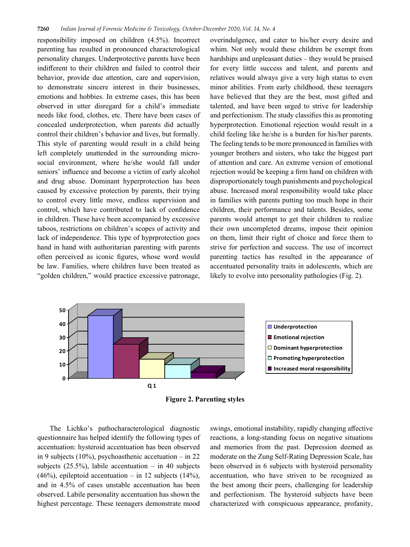responsibility imposed on children (4.5%). Incorrect parenting has resulted in pronounced characterological personality changes. Underprotective parents have been indifferent to their children and failed to control their behavior, provide due attention, care and supervision, to demonstrate sincere interest in their businesses, emotions and hobbies. In extreme cases, this has been observed in utter disregard for a child's immediate needs like food, clothes, etc. There have been cases of concealed underprotection, when parents did actually control their children's behavior and lives, but formally. This style of parenting would result in a child being left completely unattended in the surrounding microsocial environment, where he/she would fall under seniors' influence and become a victim of early alcohol and drug abuse. Dominant hyperprotection has been caused by excessive protection by parents, their trying to control every little move, endless supervision and control, which have contributed to lack of confidence in children. These have been accompanied by excessive taboos, restrictions on children's scopes of activity and lack of independence. This type of hyprprotection goes hand in hand with authoritarian parenting with parents often perceived as iconic figures, whose word would be law. Families, where children have been treated as "golden children," would practice excessive patronage,

overindulgence, and cater to his/her every desire and whim. Not only would these children be exempt from hardships and unpleasant duties – they would be praised for every little success and talent, and parents and relatives would always give a very high status to even minor abilities. From early childhood, these teenagers have believed that they are the best, most gifted and talented, and have been urged to strive for leadership and perfectionism. The study classifies this as promoting hyperprotection. Emotional rejection would result in a child feeling like he/she is a burden for his/her parents. The feeling tends to be more pronounced in families with younger brothers and sisters, who take the biggest part of attention and care. An extreme version of emotional rejection would be keeping a firm hand on children with disproportionately tough punishments and psychological abuse. Increased moral responsibility would take place in families with parents putting too much hope in their children, their performance and talents. Besides, some parents would attempt to get their children to realize their own uncompleted dreams, impose their opinion on them, limit their right of choice and force them to strive for perfection and success. The use of incorrect parenting tactics has resulted in the appearance of accentuated personality traits in adolescents, which are likely to evolve into personality pathologies (Fig. 2).



**Figure 2. Parenting styles**

The Lichko's pathocharacterological diagnostic questionnaire has helped identify the following types of accentuation: hysteroid accentuation has been observed in 9 subjects (10%), psychoasthenic accetuation – in 22 subjects  $(25.5\%)$ , labile accentuation – in 40 subjects  $(46\%)$ , epileptoid accentuation – in 12 subjects  $(14\%)$ , and in 4.5% of cases unstable accentuation has been observed. Labile personality accentuation has shown the highest percentage. These teenagers demonstrate mood

swings, emotional instability, rapidly changing affective reactions, a long-standing focus on negative situations and memories from the past. Depression deemed as moderate on the Zung Self-Rating Depression Scale, has been observed in 6 subjects with hysteroid personality accentuation, who have striven to be recognized as the best among their peers, challenging for leadership and perfectionism. The hysteroid subjects have been characterized with conspicuous appearance, profanity,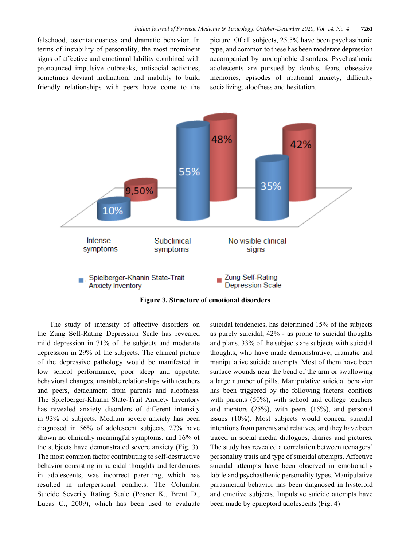falsehood, ostentatiousness and dramatic behavior. In terms of instability of personality, the most prominent signs of affective and emotional lability combined with pronounced impulsive outbreaks, antisocial activities, sometimes deviant inclination, and inability to build friendly relationships with peers have come to the picture. Of all subjects, 25.5% have been psychasthenic type, and common to these has been moderate depression accompanied by anxiophobic disorders. Psychasthenic adolescents are pursued by doubts, fears, obsessive memories, episodes of irrational anxiety, difficulty socializing, aloofness and hesitation.



**Figure 3. Structure of emotional disorders**

The study of intensity of affective disorders on the Zung Self-Rating Depression Scale has revealed mild depression in 71% of the subjects and moderate depression in 29% of the subjects. The clinical picture of the depressive pathology would be manifested in low school performance, poor sleep and appetite, behavioral changes, unstable relationships with teachers and peers, detachment from parents and aloofness. The Spielberger-Khanin State-Trait Anxiety Inventory has revealed anxiety disorders of different intensity in 93% of subjects. Medium severe anxiety has been diagnosed in 56% of adolescent subjects, 27% have shown no clinically meaningful symptoms, and 16% of the subjects have demonstrated severe anxiety (Fig. 3). The most common factor contributing to self-destructive behavior consisting in suicidal thoughts and tendencies in adolescents, was incorrect parenting, which has resulted in interpersonal conflicts. The Columbia Suicide Severity Rating Scale (Posner K., Brent D., Lucas C., 2009), which has been used to evaluate

suicidal tendencies, has determined 15% of the subjects as purely suicidal, 42% - as prone to suicidal thoughts and plans, 33% of the subjects are subjects with suicidal thoughts, who have made demonstrative, dramatic and manipulative suicide attempts. Most of them have been surface wounds near the bend of the arm or swallowing a large number of pills. Manipulative suicidal behavior has been triggered by the following factors: conflicts with parents (50%), with school and college teachers and mentors (25%), with peers (15%), and personal issues (10%). Most subjects would conceal suicidal intentions from parents and relatives, and they have been traced in social media dialogues, diaries and pictures. The study has revealed a correlation between teenagers' personality traits and type of suicidal attempts. Affective suicidal attempts have been observed in emotionally labile and psychasthenic personality types. Manipulative parasuicidal behavior has been diagnosed in hysteroid and emotive subjects. Impulsive suicide attempts have been made by epileptoid adolescents (Fig. 4)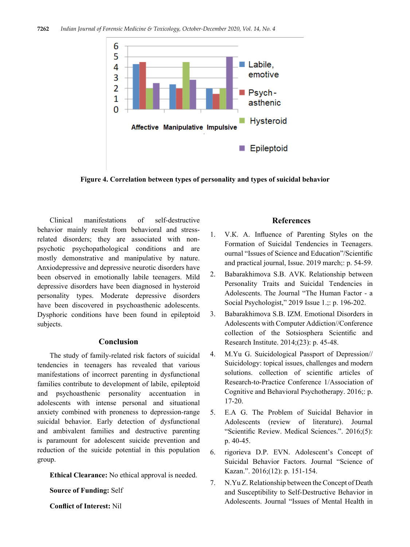

**Figure 4. Correlation between types of personality and types of suicidal behavior**

Clinical manifestations of self-destructive behavior mainly result from behavioral and stressrelated disorders; they are associated with nonpsychotic psychopathological conditions and are mostly demonstrative and manipulative by nature. Anxiodepressive and depressive neurotic disorders have been observed in emotionally labile teenagers. Mild depressive disorders have been diagnosed in hysteroid personality types. Moderate depressive disorders have been discovered in psychoasthenic adolescents. Dysphoric conditions have been found in epileptoid subjects.

# **Conclusion**

The study of family-related risk factors of suicidal tendencies in teenagers has revealed that various manifestations of incorrect parenting in dysfunctional families contribute to development of labile, epileptoid and psychoasthenic personality accentuation in adolescents with intense personal and situational anxiety combined with proneness to depression-range suicidal behavior. Early detection of dysfunctional and ambivalent families and destructive parenting is paramount for adolescent suicide prevention and reduction of the suicide potential in this population group.

**Ethical Clearance:** No ethical approval is needed.

**Source of Funding:** Self

**Conflict of Interest:** Nil

# **References**

- 1. V.К. A. Influence of Parenting Styles on the Formation of Suicidal Tendencies in Teenagers. ournal "Issues of Science and Education"/Scientific and practical journal, Issue. 2019 march;: p. 54-59.
- 2. Babarakhimova S.B. AVК. Relationship between Personality Traits and Suicidal Tendencies in Adolescents. The Journal "The Human Factor - a Social Psychologist," 2019 Issue 1.;: p. 196-202.
- 3. Babarakhimova S.B. IZМ. Emotional Disorders in Adolescents with Computer Addiction//Conference collection of the Sotsiosphera Scientific and Research Institute. 2014;(23): p. 45-48.
- 4. М.Yu G. Suicidological Passport of Depression// Suicidology: topical issues, challenges and modern solutions. collection of scientific articles of Research-to-Practice Conference 1/Association of Cognitive and Behavioral Psychotherapy. 2016;: p. 17-20.
- 5. Е.А G. The Problem of Suicidal Behavior in Adolescents (review of literature). Journal "Scientific Review. Medical Sciences.". 2016;(5): p. 40-45.
- 6. rigorieva D.P. EVN. Adolescent's Concept of Suicidal Behavior Factors. Journal "Science of Kazan.". 2016;(12): p. 151-154.
- 7. N.Yu Z. Relationship between the Concept of Death and Susceptibility to Self-Destructive Behavior in Adolescents. Journal "Issues of Mental Health in